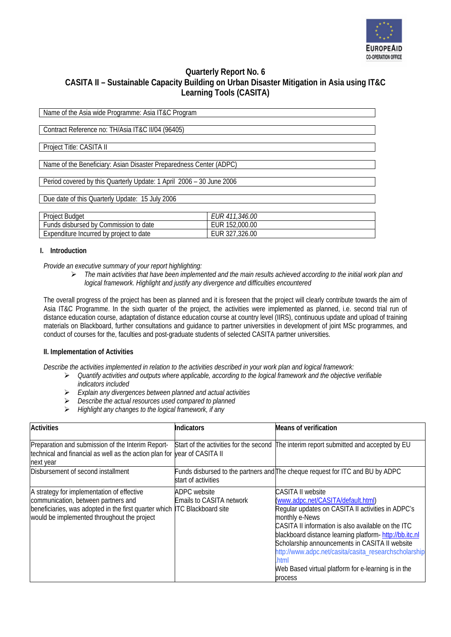

# **Quarterly Report No. 6 CASITA II – Sustainable Capacity Building on Urban Disaster Mitigation in Asia using IT&C Learning Tools (CASITA)**

| Name of the Asia wide Programme: Asia IT&C Program                   |                       |  |
|----------------------------------------------------------------------|-----------------------|--|
|                                                                      |                       |  |
| Contract Reference no: TH/Asia IT&C II/04 (96405)                    |                       |  |
|                                                                      |                       |  |
| Project Title: CASITA II                                             |                       |  |
|                                                                      |                       |  |
| Name of the Beneficiary: Asian Disaster Preparedness Center (ADPC)   |                       |  |
|                                                                      |                       |  |
| Period covered by this Quarterly Update: 1 April 2006 - 30 June 2006 |                       |  |
|                                                                      |                       |  |
| Due date of this Quarterly Update: 15 July 2006                      |                       |  |
|                                                                      |                       |  |
| Project Budget                                                       | <b>EUR 411,346.00</b> |  |
| Funds disbursed by Commission to date                                | EUR 152,000.00        |  |
| Expenditure Incurred by project to date                              | EUR 327,326.00        |  |

### **I. Introduction**

*Provide an executive summary of your report highlighting:* 

¾ *The main activities that have been implemented and the main results achieved according to the initial work plan and logical framework. Highlight and justify any divergence and difficulties encountered* 

The overall progress of the project has been as planned and it is foreseen that the project will clearly contribute towards the aim of Asia IT&C Programme. In the sixth quarter of the project, the activities were implemented as planned, i.e. second trial run of distance education course, adaptation of distance education course at country level (IIRS), continuous update and upload of training materials on Blackboard, further consultations and guidance to partner universities in development of joint MSc programmes, and conduct of courses for the, faculties and post-graduate students of selected CASITA partner universities.

### **II. Implementation of Activities**

*Describe the activities implemented in relation to the activities described in your work plan and logical framework:* 

- ¾ *Quantify activities and outputs where applicable, according to the logical framework and the objective verifiable indicators included*
- ¾ *Explain any divergences between planned and actual activities*
- ¾ *Describe the actual resources used compared to planned*
- ¾ *Highlight any changes to the logical framework, if any*

| <b>Activities</b>                                                                                                                                                                                             | Indicators                                      | <b>Means of verification</b>                                                                                                                                                                                                                                                                                                                                                                                                               |
|---------------------------------------------------------------------------------------------------------------------------------------------------------------------------------------------------------------|-------------------------------------------------|--------------------------------------------------------------------------------------------------------------------------------------------------------------------------------------------------------------------------------------------------------------------------------------------------------------------------------------------------------------------------------------------------------------------------------------------|
| Preparation and submission of the Interim Report-<br>technical and financial as well as the action plan for year of CASITA II<br>next year                                                                    |                                                 | Start of the activities for the second The interim report submitted and accepted by EU                                                                                                                                                                                                                                                                                                                                                     |
| Disbursement of second installment                                                                                                                                                                            | start of activities                             | Funds disbursed to the partners and The cheque request for ITC and BU by ADPC                                                                                                                                                                                                                                                                                                                                                              |
| A strategy for implementation of effective<br>communication, between partners and<br>beneficiaries, was adopted in the first quarter which ITC Blackboard site<br>would be implemented throughout the project | <b>ADPC</b> website<br>Emails to CASITA network | <b>CASITA II website</b><br>(www.adpc.net/CASITA/default.html)<br>Regular updates on CASITA II activities in ADPC's<br>monthly e-News<br>CASITA II information is also available on the ITC<br>blackboard distance learning platform-http://bb.itc.nl<br>Scholarship announcements in CASITA II website<br>http://www.adpc.net/casita/casita_researchscholarship<br>html<br>Web Based virtual platform for e-learning is in the<br>process |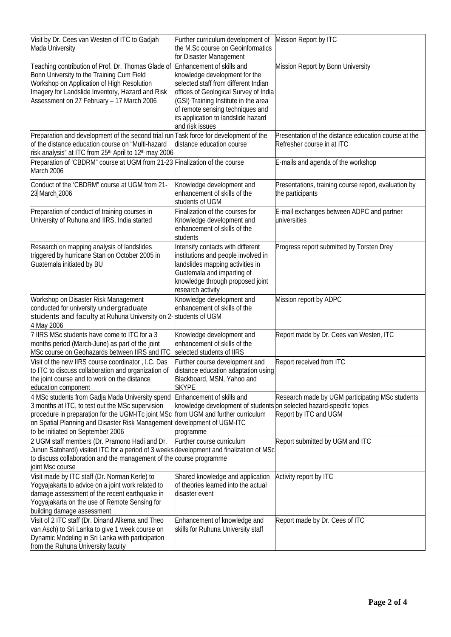| Visit by Dr. Cees van Westen of ITC to Gadjah<br>Mada University                                                                                                                                                                                                                                          | Further curriculum development of<br>the M.Sc course on Geoinformatics<br>for Disaster Management                                                                                                                                                                                 | Mission Report by ITC                                                              |
|-----------------------------------------------------------------------------------------------------------------------------------------------------------------------------------------------------------------------------------------------------------------------------------------------------------|-----------------------------------------------------------------------------------------------------------------------------------------------------------------------------------------------------------------------------------------------------------------------------------|------------------------------------------------------------------------------------|
| Teaching contribution of Prof. Dr. Thomas Glade of<br>Bonn University to the Training Cum Field<br>Workshop on Application of High Resolution<br>Imagery for Landslide Inventory, Hazard and Risk<br>Assessment on 27 February - 17 March 2006                                                            | Enhancement of skills and<br>knowledge development for the<br>selected staff from different Indian<br>offices of Geological Survey of India<br>(GSI) Training Institute in the area<br>of remote sensing techniques and<br>its application to landslide hazard<br>and risk issues | Mission Report by Bonn University                                                  |
| Preparation and development of the second trial run Task force for development of the<br>of the distance education course on "Multi-hazard<br>risk analysis" at ITC from 25 <sup>th</sup> April to 12 <sup>th</sup> may 2006                                                                              | distance education course                                                                                                                                                                                                                                                         | Presentation of the distance education course at the<br>Refresher course in at ITC |
| Preparation of 'CBDRM" course at UGM from 21-23 Finalization of the course<br>March 2006                                                                                                                                                                                                                  |                                                                                                                                                                                                                                                                                   | E-mails and agenda of the workshop                                                 |
| Conduct of the 'CBDRM" course at UGM from 21-<br>23 March_2006                                                                                                                                                                                                                                            | Knowledge development and<br>enhancement of skills of the<br>students of UGM                                                                                                                                                                                                      | Presentations, training course report, evaluation by<br>the participants           |
| Preparation of conduct of training courses in<br>University of Ruhuna and IIRS, India started                                                                                                                                                                                                             | Finalization of the courses for<br>Knowledge development and<br>enhancement of skills of the<br>students                                                                                                                                                                          | E-mail exchanges between ADPC and partner<br>universities                          |
| Research on mapping analysis of landslides<br>triggered by hurricane Stan on October 2005 in<br>Guatemala initiated by BU                                                                                                                                                                                 | Intensify contacts with different<br>institutions and people involved in<br>landslides mapping activities in<br>Guatemala and imparting of<br>knowledge through proposed joint<br>research activity                                                                               | Progress report submitted by Torsten Drey                                          |
| Workshop on Disaster Risk Management<br>conducted for university undergraduate<br>students and faculty at Ruhuna University on 2- students of UGM<br>4 May 2006                                                                                                                                           | Knowledge development and<br>enhancement of skills of the                                                                                                                                                                                                                         | Mission report by ADPC                                                             |
| 7 IIRS MSc students have come to ITC for a 3<br>months period (March-June) as part of the joint<br>MSc course on Geohazards between IIRS and ITC                                                                                                                                                          | Knowledge development and<br>enhancement of skills of the<br>selected students of IIRS                                                                                                                                                                                            | Report made by Dr. Cees van Westen, ITC                                            |
| Visit of the new IIRS course coordinator, I.C. Das<br>to ITC to discuss collaboration and organization of<br>the joint course and to work on the distance<br>education component                                                                                                                          | Further course development and<br>distance education adaptation using<br>Blackboard, MSN, Yahoo and<br><b>SKYPE</b>                                                                                                                                                               | Report received from ITC                                                           |
| 4 MSc students from Gadja Mada University spend<br>3 months at ITC, to test out the MSc supervision<br>procedure in preparation for the UGM-ITc joint MSc from UGM and further curriculum<br>on Spatial Planning and Disaster Risk Management development of UGM-ITC<br>to be initiated on September 2006 | Enhancement of skills and<br>knowledge development of students on selected hazard-specific topics<br>programme                                                                                                                                                                    | Research made by UGM participating MSc students<br>Report by ITC and UGM           |
| 2 UGM staff members (Dr. Pramono Hadi and Dr.<br>Junun Satohardi) visited ITC for a period of 3 weeks development and finalization of MSc<br>to discuss collaboration and the management of the course programme<br>joint Msc course                                                                      | Further course curriculum                                                                                                                                                                                                                                                         | Report submitted by UGM and ITC                                                    |
| Visit made by ITC staff (Dr. Norman Kerle) to<br>Yogyajakarta to advice on a joint work related to<br>damage assessment of the recent earthquake in<br>Yogyajakarta on the use of Remote Sensing for<br>building damage assessment                                                                        | Shared knowledge and application<br>of theories learned into the actual<br>disaster event                                                                                                                                                                                         | Activity report by ITC                                                             |
| Visit of 2 ITC staff (Dr. Dinand Alkema and Theo<br>van Asch) to Sri Lanka to give 1 week course on<br>Dynamic Modeling in Sri Lanka with participation<br>from the Ruhuna University faculty                                                                                                             | Enhancement of knowledge and<br>skills for Ruhuna University staff                                                                                                                                                                                                                | Report made by Dr. Cees of ITC                                                     |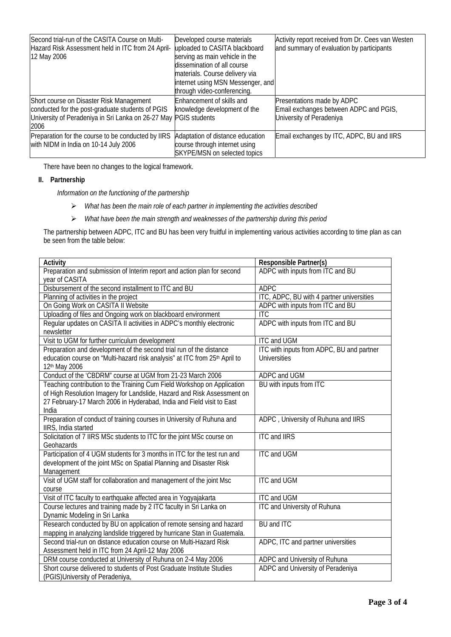| Second trial-run of the CASITA Course on Multi-<br>Hazard Risk Assessment held in ITC from 24 April-<br>12 May 2006                                                      | Developed course materials<br>uploaded to CASITA blackboard<br>serving as main vehicle in the<br>dissemination of all course<br>materials. Course delivery via<br>internet using MSN Messenger, and<br>through video-conferencing. | Activity report received from Dr. Cees van Westen<br>and summary of evaluation by participants   |
|--------------------------------------------------------------------------------------------------------------------------------------------------------------------------|------------------------------------------------------------------------------------------------------------------------------------------------------------------------------------------------------------------------------------|--------------------------------------------------------------------------------------------------|
| Short course on Disaster Risk Management<br>conducted for the post-graduate students of PGIS<br>University of Peradeniya in Sri Lanka on 26-27 May PGIS students<br>2006 | Enhancement of skills and<br>knowledge development of the                                                                                                                                                                          | Presentations made by ADPC<br>Email exchanges between ADPC and PGIS,<br>University of Peradeniya |
| Preparation for the course to be conducted by IIRS<br>with NIDM in India on 10-14 July 2006                                                                              | Adaptation of distance education<br>course through internet using<br>SKYPE/MSN on selected topics                                                                                                                                  | Email exchanges by ITC, ADPC, BU and IIRS                                                        |

There have been no changes to the logical framework.

## **II. Partnership**

*Information on the functioning of the partnership* 

- ¾ *What has been the main role of each partner in implementing the activities described*
- ¾ *What have been the main strength and weaknesses of the partnership during this period*

The partnership between ADPC, ITC and BU has been very fruitful in implementing various activities according to time plan as can be seen from the table below:

| Activity                                                                                  | <b>Responsible Partner(s)</b>             |
|-------------------------------------------------------------------------------------------|-------------------------------------------|
| Preparation and submission of Interim report and action plan for second<br>year of CASITA | ADPC with inputs from ITC and BU          |
| Disbursement of the second installment to ITC and BU                                      | <b>ADPC</b>                               |
| Planning of activities in the project                                                     | ITC, ADPC, BU with 4 partner universities |
| On Going Work on CASITA II Website                                                        | ADPC with inputs from ITC and BU          |
| Uploading of files and Ongoing work on blackboard environment                             | <b>ITC</b>                                |
| Regular updates on CASITA II activities in ADPC's monthly electronic                      | ADPC with inputs from ITC and BU          |
| newsletter                                                                                |                                           |
| Visit to UGM for further curriculum development                                           | <b>ITC</b> and UGM                        |
| Preparation and development of the second trial run of the distance                       | ITC with inputs from ADPC, BU and partner |
| education course on "Multi-hazard risk analysis" at ITC from 25th April to                | <b>Universities</b>                       |
| 12th May 2006                                                                             |                                           |
| Conduct of the 'CBDRM" course at UGM from 21-23 March 2006                                | ADPC and UGM                              |
| Teaching contribution to the Training Cum Field Workshop on Application                   | BU with inputs from ITC                   |
| of High Resolution Imagery for Landslide, Hazard and Risk Assessment on                   |                                           |
| 27 February-17 March 2006 in Hyderabad, India and Field visit to East                     |                                           |
| India                                                                                     |                                           |
| Preparation of conduct of training courses in University of Ruhuna and                    | ADPC, University of Ruhuna and IIRS       |
| IIRS, India started                                                                       |                                           |
| Solicitation of 7 IIRS MSc students to ITC for the joint MSc course on                    | <b>ITC and IIRS</b>                       |
| Geohazards                                                                                |                                           |
| Participation of 4 UGM students for 3 months in ITC for the test run and                  | <b>ITC and UGM</b>                        |
| development of the joint MSc on Spatial Planning and Disaster Risk                        |                                           |
| Management<br>Visit of UGM staff for collaboration and management of the joint Msc        | <b>ITC and UGM</b>                        |
| course                                                                                    |                                           |
| Visit of ITC faculty to earthquake affected area in Yogyajakarta                          | <b>ITC and UGM</b>                        |
| Course lectures and training made by 2 ITC faculty in Sri Lanka on                        | <b>ITC and University of Ruhuna</b>       |
| Dynamic Modeling in Sri Lanka                                                             |                                           |
| Research conducted by BU on application of remote sensing and hazard                      | <b>BU</b> and <b>ITC</b>                  |
| mapping in analyzing landslide triggered by hurricane Stan in Guatemala.                  |                                           |
| Second trial-run on distance education course on Multi-Hazard Risk                        | ADPC, ITC and partner universities        |
| Assessment held in ITC from 24 April-12 May 2006                                          |                                           |
| DRM course conducted at University of Ruhuna on 2-4 May 2006                              | ADPC and University of Ruhuna             |
| Short course delivered to students of Post Graduate Institute Studies                     | ADPC and University of Peradeniya         |
| (PGIS) University of Peradeniya,                                                          |                                           |